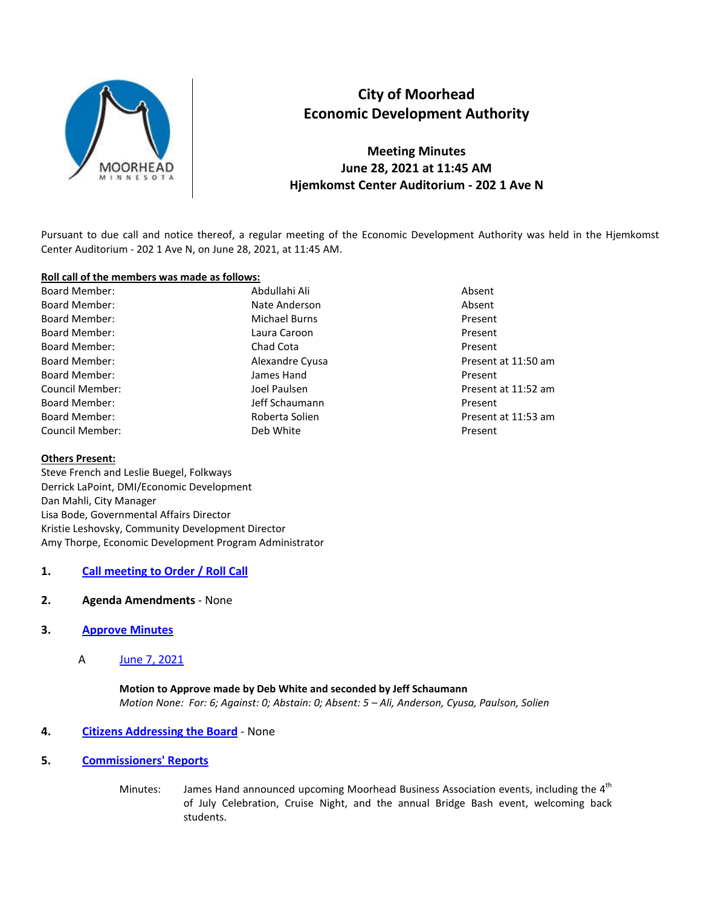

# **City of Moorhead Economic Development Authority**

**Meeting Minutes June 28, 2021 at 11:45 AM Hjemkomst Center Auditorium - 202 1 Ave N** 

Pursuant to due call and notice thereof, a regular meeting of the Economic Development Authority was held in the Hjemkomst Center Auditorium - 202 1 Ave N, on June 28, 2021, at 11:45 AM.

#### **Roll call of the members was made as follows:**

Board Member: Abdullahi Ali Absent Board Member: Nate Anderson Absent Absent Absent Board Member: The Michael Burns Present Research Architecture and Michael Burns Present Board Member: New York Caroon Caroon and December 2014 and December 2014 and December 2014 and December 2014 and December 2014 and December 2014 and December 2014 and December 2014 and December 2014 and December 2014 and D Board Member: The Chad Cota Cota Present Board Member: The Members of Alexandre Cyusa Cyusa Present at 11:50 am Board Member: James Hand Present Council Member: The Souncil Member: All the Souncil Member: All the Souncil Member: All the Souncil Member: All the Souncil Present at 11:52 am Board Member: The Schaumann Present of the Schaumann Present Board Member: The Roberta Solien Present at 11:53 am Council Member: Deb White Present

## **Others Present:**

Steve French and Leslie Buegel, Folkways Derrick LaPoint, DMI/Economic Development Dan Mahli, City Manager Lisa Bode, Governmental Affairs Director Kristie Leshovsky, Community Development Director Amy Thorpe, Economic Development Program Administrator

## **1. Call meeting to Order / Roll Call**

**2. Agenda Amendments** - None

## **3. Approve Minutes**

A June 7, 2021

# **Motion to Approve made by Deb White and seconded by Jeff Schaumann**  *Motion None: For: 6; Against: 0; Abstain: 0; Absent: 5 – Ali, Anderson, Cyusa, Paulson, Solien*

## **4. Citizens Addressing the Board** - None

- **5. Commissioners' Reports**
	- Minutes: James Hand announced upcoming Moorhead Business Association events, including the 4<sup>th</sup> of July Celebration, Cruise Night, and the annual Bridge Bash event, welcoming back students.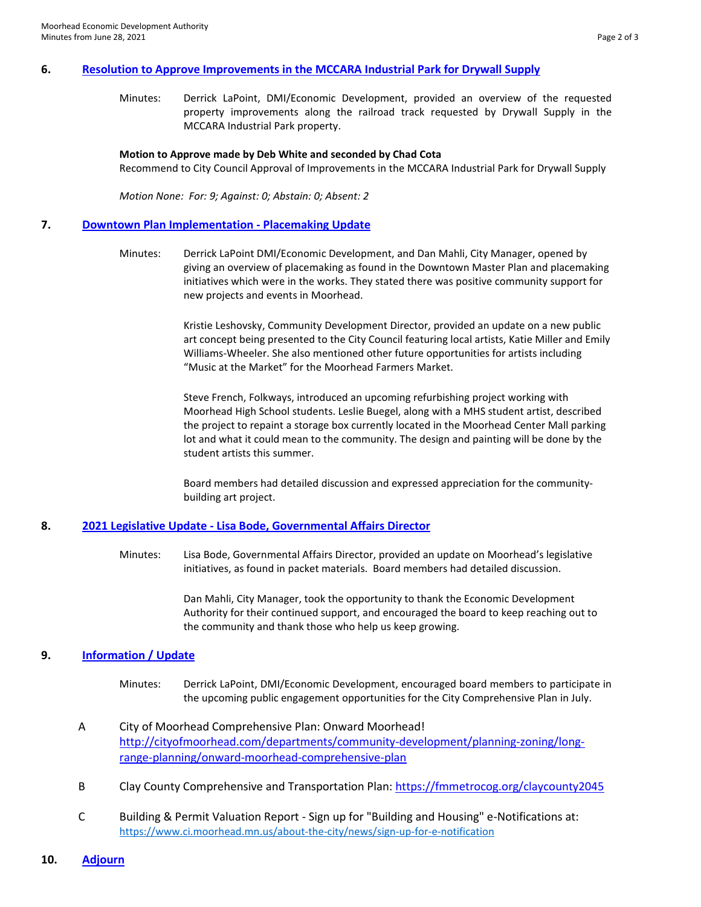#### **6. Resolution to Approve Improvements in the MCCARA Industrial Park for Drywall Supply**

Minutes: Derrick LaPoint, DMI/Economic Development, provided an overview of the requested property improvements along the railroad track requested by Drywall Supply in the MCCARA Industrial Park property.

#### **Motion to Approve made by Deb White and seconded by Chad Cota**

Recommend to City Council Approval of Improvements in the MCCARA Industrial Park for Drywall Supply

*Motion None: For: 9; Against: 0; Abstain: 0; Absent: 2* 

#### **7. Downtown Plan Implementation - Placemaking Update**

Minutes: Derrick LaPoint DMI/Economic Development, and Dan Mahli, City Manager, opened by giving an overview of placemaking as found in the Downtown Master Plan and placemaking initiatives which were in the works. They stated there was positive community support for new projects and events in Moorhead.

> Kristie Leshovsky, Community Development Director, provided an update on a new public art concept being presented to the City Council featuring local artists, Katie Miller and Emily Williams-Wheeler. She also mentioned other future opportunities for artists including "Music at the Market" for the Moorhead Farmers Market.

> Steve French, Folkways, introduced an upcoming refurbishing project working with Moorhead High School students. Leslie Buegel, along with a MHS student artist, described the project to repaint a storage box currently located in the Moorhead Center Mall parking lot and what it could mean to the community. The design and painting will be done by the student artists this summer.

Board members had detailed discussion and expressed appreciation for the communitybuilding art project.

#### **8. 2021 Legislative Update - Lisa Bode, Governmental Affairs Director**

Minutes: Lisa Bode, Governmental Affairs Director, provided an update on Moorhead's legislative initiatives, as found in packet materials. Board members had detailed discussion.

> Dan Mahli, City Manager, took the opportunity to thank the Economic Development Authority for their continued support, and encouraged the board to keep reaching out to the community and thank those who help us keep growing.

## **9. Information / Update**

- Minutes: Derrick LaPoint, DMI/Economic Development, encouraged board members to participate in the upcoming public engagement opportunities for the City Comprehensive Plan in July.
- A City of Moorhead Comprehensive Plan: Onward Moorhead! [http://cityofmoorhead.com/departments/community-development/planning-zoning/long](http://cityofmoorhead.com/departments/community-development/planning-zoning/long-range-planning/onward-moorhead-comprehensive-plan)[range-planning/onward-moorhead-comprehensive-plan](http://cityofmoorhead.com/departments/community-development/planning-zoning/long-range-planning/onward-moorhead-comprehensive-plan)
- B Clay County Comprehensive and Transportation Plan:<https://fmmetrocog.org/claycounty2045>
- C Building & Permit Valuation Report Sign up for "Building and Housing" e-Notifications at: <https://www.ci.moorhead.mn.us/about-the-city/news/sign-up-for-e-notification>
- **10. Adjourn**